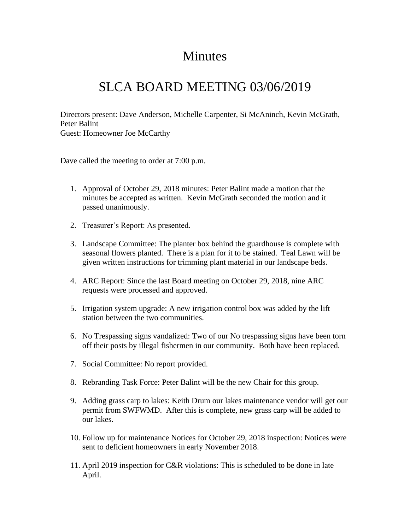## Minutes

## SLCA BOARD MEETING 03/06/2019

Directors present: Dave Anderson, Michelle Carpenter, Si McAninch, Kevin McGrath, Peter Balint Guest: Homeowner Joe McCarthy

Dave called the meeting to order at 7:00 p.m.

- 1. Approval of October 29, 2018 minutes: Peter Balint made a motion that the minutes be accepted as written. Kevin McGrath seconded the motion and it passed unanimously.
- 2. Treasurer's Report: As presented.
- 3. Landscape Committee: The planter box behind the guardhouse is complete with seasonal flowers planted. There is a plan for it to be stained. Teal Lawn will be given written instructions for trimming plant material in our landscape beds.
- 4. ARC Report: Since the last Board meeting on October 29, 2018, nine ARC requests were processed and approved.
- 5. Irrigation system upgrade: A new irrigation control box was added by the lift station between the two communities.
- 6. No Trespassing signs vandalized: Two of our No trespassing signs have been torn off their posts by illegal fishermen in our community. Both have been replaced.
- 7. Social Committee: No report provided.
- 8. Rebranding Task Force: Peter Balint will be the new Chair for this group.
- 9. Adding grass carp to lakes: Keith Drum our lakes maintenance vendor will get our permit from SWFWMD. After this is complete, new grass carp will be added to our lakes.
- 10. Follow up for maintenance Notices for October 29, 2018 inspection: Notices were sent to deficient homeowners in early November 2018.
- 11. April 2019 inspection for C&R violations: This is scheduled to be done in late April.